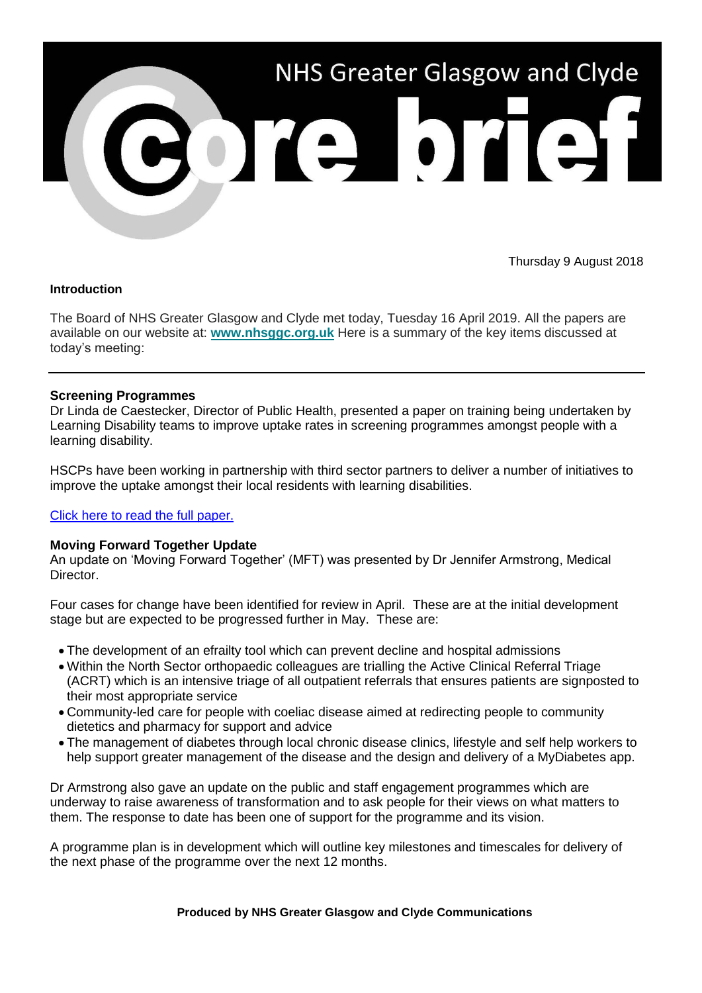

Thursday 9 August 2018

#### **Introduction**

The Board of NHS Greater Glasgow and Clyde met today, Tuesday 16 April 2019. All the papers are available on our website at: **[www.nhsggc.org.uk](https://www.nhsggc.org.uk/about-us/nhsggc-board/board-meetings-papers-reports/papers/2019/)** Here is a summary of the key items discussed at today's meeting:

## **Screening Programmes**

Dr Linda de Caestecker, Director of Public Health, presented a paper on training being undertaken by Learning Disability teams to improve uptake rates in screening programmes amongst people with a learning disability.

HSCPs have been working in partnership with third sector partners to deliver a number of initiatives to improve the uptake amongst their local residents with learning disabilities.

#### [Click here to read the full paper.](https://www.nhsggc.org.uk/media/253872/item-8-paper-19_14-participation-in-screening-programme-ld-2015_18.pdf)

#### **Moving Forward Together Update**

An update on 'Moving Forward Together' (MFT) was presented by Dr Jennifer Armstrong, Medical Director.

Four cases for change have been identified for review in April. These are at the initial development stage but are expected to be progressed further in May. These are:

- The development of an efrailty tool which can prevent decline and hospital admissions
- Within the North Sector orthopaedic colleagues are trialling the Active Clinical Referral Triage (ACRT) which is an intensive triage of all outpatient referrals that ensures patients are signposted to their most appropriate service
- Community-led care for people with coeliac disease aimed at redirecting people to community dietetics and pharmacy for support and advice
- The management of diabetes through local chronic disease clinics, lifestyle and self help workers to help support greater management of the disease and the design and delivery of a MyDiabetes app.

Dr Armstrong also gave an update on the public and staff engagement programmes which are underway to raise awareness of transformation and to ask people for their views on what matters to them. The response to date has been one of support for the programme and its vision.

A programme plan is in development which will outline key milestones and timescales for delivery of the next phase of the programme over the next 12 months.

#### **Produced by NHS Greater Glasgow and Clyde Communications**